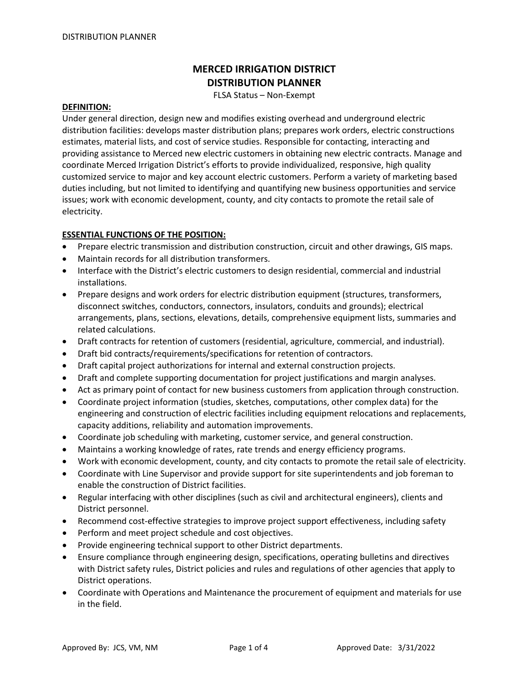# **MERCED IRRIGATION DISTRICT DISTRIBUTION PLANNER**

FLSA Status – Non-Exempt

#### **DEFINITION:**

Under general direction, design new and modifies existing overhead and underground electric distribution facilities: develops master distribution plans; prepares work orders, electric constructions estimates, material lists, and cost of service studies. Responsible for contacting, interacting and providing assistance to Merced new electric customers in obtaining new electric contracts. Manage and coordinate Merced Irrigation District's efforts to provide individualized, responsive, high quality customized service to major and key account electric customers. Perform a variety of marketing based duties including, but not limited to identifying and quantifying new business opportunities and service issues; work with economic development, county, and city contacts to promote the retail sale of electricity.

#### **ESSENTIAL FUNCTIONS OF THE POSITION:**

- Prepare electric transmission and distribution construction, circuit and other drawings, GIS maps.
- Maintain records for all distribution transformers.
- Interface with the District's electric customers to design residential, commercial and industrial installations.
- Prepare designs and work orders for electric distribution equipment (structures, transformers, disconnect switches, conductors, connectors, insulators, conduits and grounds); electrical arrangements, plans, sections, elevations, details, comprehensive equipment lists, summaries and related calculations.
- Draft contracts for retention of customers (residential, agriculture, commercial, and industrial).
- Draft bid contracts/requirements/specifications for retention of contractors.
- Draft capital project authorizations for internal and external construction projects.
- Draft and complete supporting documentation for project justifications and margin analyses.
- Act as primary point of contact for new business customers from application through construction.
- Coordinate project information (studies, sketches, computations, other complex data) for the engineering and construction of electric facilities including equipment relocations and replacements, capacity additions, reliability and automation improvements.
- Coordinate job scheduling with marketing, customer service, and general construction.
- Maintains a working knowledge of rates, rate trends and energy efficiency programs.
- Work with economic development, county, and city contacts to promote the retail sale of electricity.
- Coordinate with Line Supervisor and provide support for site superintendents and job foreman to enable the construction of District facilities.
- Regular interfacing with other disciplines (such as civil and architectural engineers), clients and District personnel.
- Recommend cost-effective strategies to improve project support effectiveness, including safety
- Perform and meet project schedule and cost objectives.
- Provide engineering technical support to other District departments.
- Ensure compliance through engineering design, specifications, operating bulletins and directives with District safety rules, District policies and rules and regulations of other agencies that apply to District operations.
- Coordinate with Operations and Maintenance the procurement of equipment and materials for use in the field.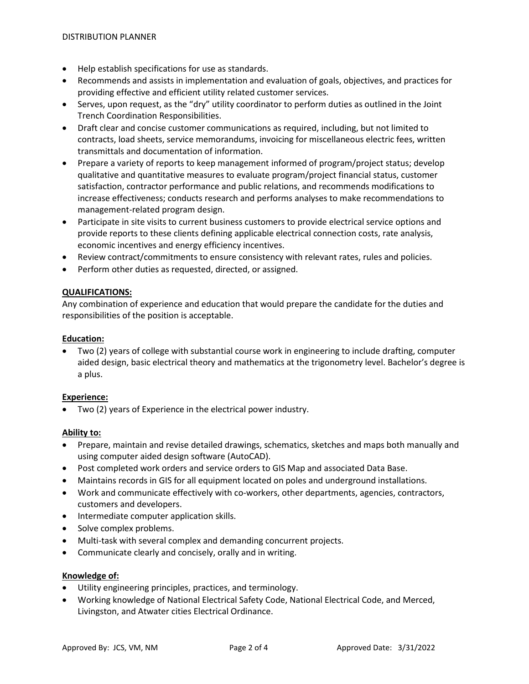- Help establish specifications for use as standards.
- Recommends and assists in implementation and evaluation of goals, objectives, and practices for providing effective and efficient utility related customer services.
- Serves, upon request, as the "dry" utility coordinator to perform duties as outlined in the Joint Trench Coordination Responsibilities.
- Draft clear and concise customer communications as required, including, but not limited to contracts, load sheets, service memorandums, invoicing for miscellaneous electric fees, written transmittals and documentation of information.
- Prepare a variety of reports to keep management informed of program/project status; develop qualitative and quantitative measures to evaluate program/project financial status, customer satisfaction, contractor performance and public relations, and recommends modifications to increase effectiveness; conducts research and performs analyses to make recommendations to management-related program design.
- Participate in site visits to current business customers to provide electrical service options and provide reports to these clients defining applicable electrical connection costs, rate analysis, economic incentives and energy efficiency incentives.
- Review contract/commitments to ensure consistency with relevant rates, rules and policies.
- Perform other duties as requested, directed, or assigned.

## **QUALIFICATIONS:**

Any combination of experience and education that would prepare the candidate for the duties and responsibilities of the position is acceptable.

### **Education:**

• Two (2) years of college with substantial course work in engineering to include drafting, computer aided design, basic electrical theory and mathematics at the trigonometry level. Bachelor's degree is a plus.

### **Experience:**

• Two (2) years of Experience in the electrical power industry.

### **Ability to:**

- Prepare, maintain and revise detailed drawings, schematics, sketches and maps both manually and using computer aided design software (AutoCAD).
- Post completed work orders and service orders to GIS Map and associated Data Base.
- Maintains records in GIS for all equipment located on poles and underground installations.
- Work and communicate effectively with co-workers, other departments, agencies, contractors, customers and developers.
- Intermediate computer application skills.
- Solve complex problems.
- Multi-task with several complex and demanding concurrent projects.
- Communicate clearly and concisely, orally and in writing.

### **Knowledge of:**

- Utility engineering principles, practices, and terminology.
- Working knowledge of National Electrical Safety Code, National Electrical Code, and Merced, Livingston, and Atwater cities Electrical Ordinance.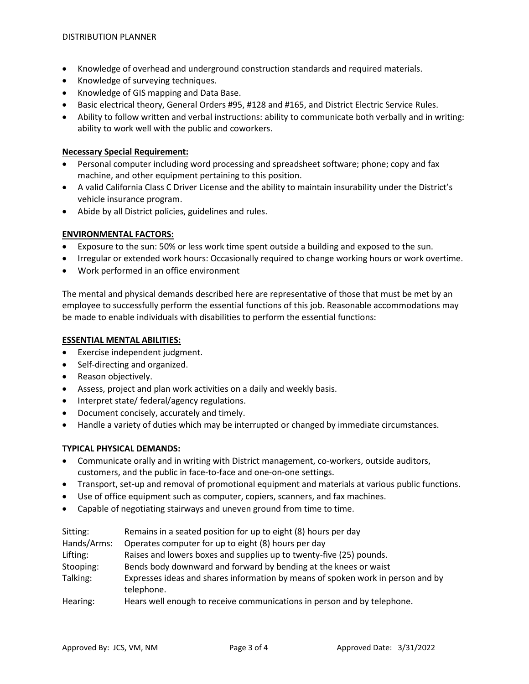- Knowledge of overhead and underground construction standards and required materials.
- Knowledge of surveying techniques.
- Knowledge of GIS mapping and Data Base.
- Basic electrical theory, General Orders #95, #128 and #165, and District Electric Service Rules.
- Ability to follow written and verbal instructions: ability to communicate both verbally and in writing: ability to work well with the public and coworkers.

### **Necessary Special Requirement:**

- Personal computer including word processing and spreadsheet software; phone; copy and fax machine, and other equipment pertaining to this position.
- A valid California Class C Driver License and the ability to maintain insurability under the District's vehicle insurance program.
- Abide by all District policies, guidelines and rules.

### **ENVIRONMENTAL FACTORS:**

- Exposure to the sun: 50% or less work time spent outside a building and exposed to the sun.
- Irregular or extended work hours: Occasionally required to change working hours or work overtime.
- Work performed in an office environment

The mental and physical demands described here are representative of those that must be met by an employee to successfully perform the essential functions of this job. Reasonable accommodations may be made to enable individuals with disabilities to perform the essential functions:

#### **ESSENTIAL MENTAL ABILITIES:**

- Exercise independent judgment.
- Self-directing and organized.
- Reason objectively.
- Assess, project and plan work activities on a daily and weekly basis.
- Interpret state/ federal/agency regulations.
- Document concisely, accurately and timely.
- Handle a variety of duties which may be interrupted or changed by immediate circumstances.

### **TYPICAL PHYSICAL DEMANDS:**

- Communicate orally and in writing with District management, co-workers, outside auditors, customers, and the public in face-to-face and one-on-one settings.
- Transport, set-up and removal of promotional equipment and materials at various public functions.
- Use of office equipment such as computer, copiers, scanners, and fax machines.
- Capable of negotiating stairways and uneven ground from time to time.

| Sitting:    | Remains in a seated position for up to eight (8) hours per day                                |
|-------------|-----------------------------------------------------------------------------------------------|
| Hands/Arms: | Operates computer for up to eight (8) hours per day                                           |
| Lifting:    | Raises and lowers boxes and supplies up to twenty-five (25) pounds.                           |
| Stooping:   | Bends body downward and forward by bending at the knees or waist                              |
| Talking:    | Expresses ideas and shares information by means of spoken work in person and by<br>telephone. |
| Hearing:    | Hears well enough to receive communications in nerson and by telephone                        |

Hearing: Hears well enough to receive communications in person and by telephone.